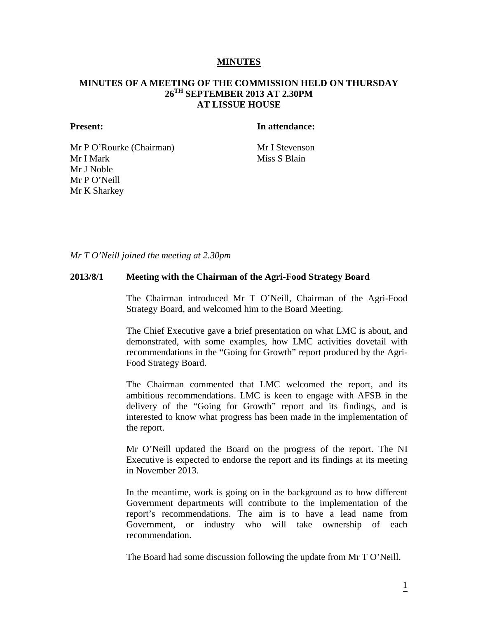#### **MINUTES**

## **MINUTES OF A MEETING OF THE COMMISSION HELD ON THURSDAY 26TH SEPTEMBER 2013 AT 2.30PM AT LISSUE HOUSE**

#### **Present: In attendance:**

Mr P O'Rourke (Chairman) Mr I Stevenson Mr I Mark Mr J Noble Mr P O'Neill Mr K Sharkey

Miss S Blain

*Mr T O'Neill joined the meeting at 2.30pm*

#### **2013/8/1 Meeting with the Chairman of the Agri-Food Strategy Board**

The Chairman introduced Mr T O'Neill, Chairman of the Agri-Food Strategy Board, and welcomed him to the Board Meeting.

The Chief Executive gave a brief presentation on what LMC is about, and demonstrated, with some examples, how LMC activities dovetail with recommendations in the "Going for Growth" report produced by the Agri-Food Strategy Board.

The Chairman commented that LMC welcomed the report, and its ambitious recommendations. LMC is keen to engage with AFSB in the delivery of the "Going for Growth" report and its findings, and is interested to know what progress has been made in the implementation of the report.

Mr O'Neill updated the Board on the progress of the report. The NI Executive is expected to endorse the report and its findings at its meeting in November 2013.

In the meantime, work is going on in the background as to how different Government departments will contribute to the implementation of the report's recommendations. The aim is to have a lead name from Government, or industry who will take ownership of each recommendation.

The Board had some discussion following the update from Mr T O'Neill.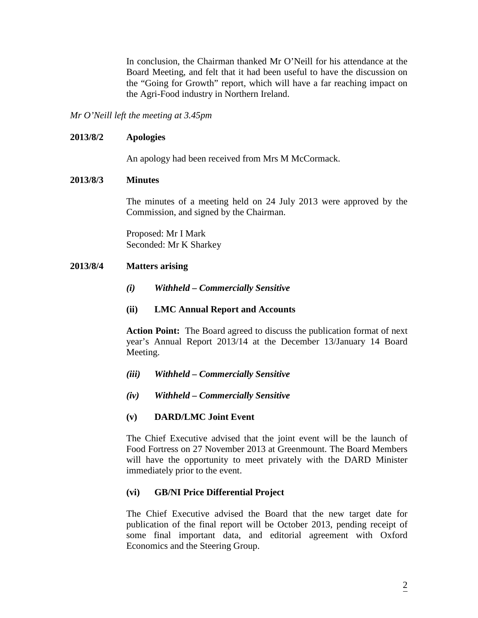In conclusion, the Chairman thanked Mr O'Neill for his attendance at the Board Meeting, and felt that it had been useful to have the discussion on the "Going for Growth" report, which will have a far reaching impact on the Agri-Food industry in Northern Ireland.

*Mr O'Neill left the meeting at 3.45pm*

## **2013/8/2 Apologies**

An apology had been received from Mrs M McCormack.

## **2013/8/3 Minutes**

The minutes of a meeting held on 24 July 2013 were approved by the Commission, and signed by the Chairman.

Proposed: Mr I Mark Seconded: Mr K Sharkey

# **2013/8/4 Matters arising**

- *(i) Withheld – Commercially Sensitive*
- **(ii) LMC Annual Report and Accounts**

**Action Point:** The Board agreed to discuss the publication format of next year's Annual Report 2013/14 at the December 13/January 14 Board Meeting.

- *(iii) Withheld – Commercially Sensitive*
- *(iv) Withheld – Commercially Sensitive*

## **(v) DARD/LMC Joint Event**

The Chief Executive advised that the joint event will be the launch of Food Fortress on 27 November 2013 at Greenmount. The Board Members will have the opportunity to meet privately with the DARD Minister immediately prior to the event.

## **(vi) GB/NI Price Differential Project**

The Chief Executive advised the Board that the new target date for publication of the final report will be October 2013, pending receipt of some final important data, and editorial agreement with Oxford Economics and the Steering Group.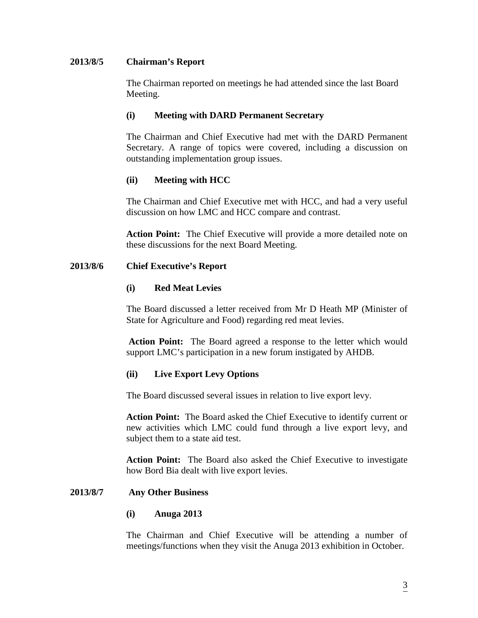## **2013/8/5 Chairman's Report**

The Chairman reported on meetings he had attended since the last Board Meeting.

#### **(i) Meeting with DARD Permanent Secretary**

The Chairman and Chief Executive had met with the DARD Permanent Secretary. A range of topics were covered, including a discussion on outstanding implementation group issues.

## **(ii) Meeting with HCC**

The Chairman and Chief Executive met with HCC, and had a very useful discussion on how LMC and HCC compare and contrast.

**Action Point:** The Chief Executive will provide a more detailed note on these discussions for the next Board Meeting.

#### **2013/8/6 Chief Executive's Report**

## **(i) Red Meat Levies**

The Board discussed a letter received from Mr D Heath MP (Minister of State for Agriculture and Food) regarding red meat levies.

**Action Point:** The Board agreed a response to the letter which would support LMC's participation in a new forum instigated by AHDB.

## **(ii) Live Export Levy Options**

The Board discussed several issues in relation to live export levy.

**Action Point:** The Board asked the Chief Executive to identify current or new activities which LMC could fund through a live export levy, and subject them to a state aid test.

**Action Point:** The Board also asked the Chief Executive to investigate how Bord Bia dealt with live export levies.

#### **2013/8/7 Any Other Business**

#### **(i) Anuga 2013**

The Chairman and Chief Executive will be attending a number of meetings/functions when they visit the Anuga 2013 exhibition in October.